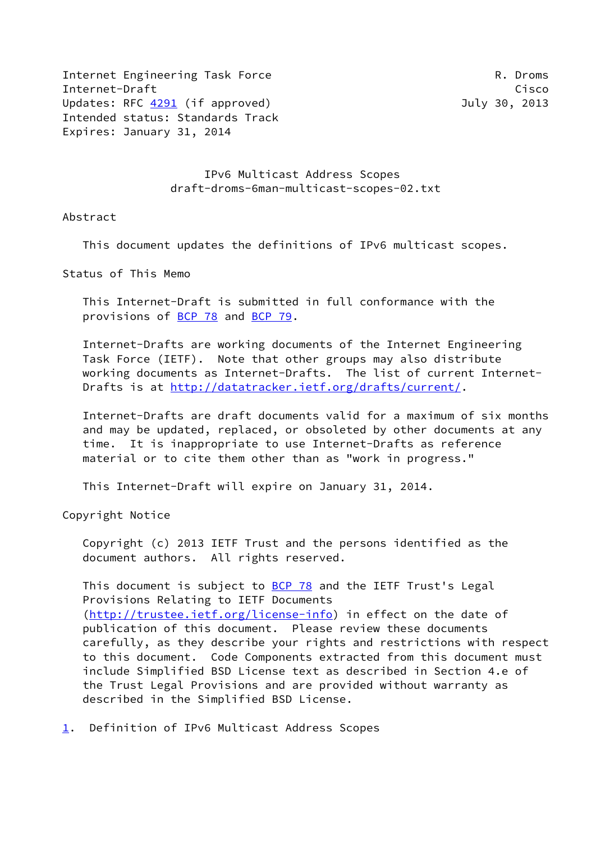Internet Engineering Task Force R. Droms Internet-Draft Cisco Updates: RFC [4291](https://datatracker.ietf.org/doc/pdf/rfc4291) (if approved) and the state of the July 30, 2013 Intended status: Standards Track Expires: January 31, 2014

 IPv6 Multicast Address Scopes draft-droms-6man-multicast-scopes-02.txt

Abstract

This document updates the definitions of IPv6 multicast scopes.

Status of This Memo

 This Internet-Draft is submitted in full conformance with the provisions of [BCP 78](https://datatracker.ietf.org/doc/pdf/bcp78) and [BCP 79](https://datatracker.ietf.org/doc/pdf/bcp79).

 Internet-Drafts are working documents of the Internet Engineering Task Force (IETF). Note that other groups may also distribute working documents as Internet-Drafts. The list of current Internet- Drafts is at<http://datatracker.ietf.org/drafts/current/>.

 Internet-Drafts are draft documents valid for a maximum of six months and may be updated, replaced, or obsoleted by other documents at any time. It is inappropriate to use Internet-Drafts as reference material or to cite them other than as "work in progress."

This Internet-Draft will expire on January 31, 2014.

Copyright Notice

 Copyright (c) 2013 IETF Trust and the persons identified as the document authors. All rights reserved.

This document is subject to  $BCP$  78 and the IETF Trust's Legal Provisions Relating to IETF Documents [\(http://trustee.ietf.org/license-info](http://trustee.ietf.org/license-info)) in effect on the date of publication of this document. Please review these documents carefully, as they describe your rights and restrictions with respect to this document. Code Components extracted from this document must include Simplified BSD License text as described in Section 4.e of the Trust Legal Provisions and are provided without warranty as described in the Simplified BSD License.

<span id="page-0-0"></span>[1](#page-0-0). Definition of IPv6 Multicast Address Scopes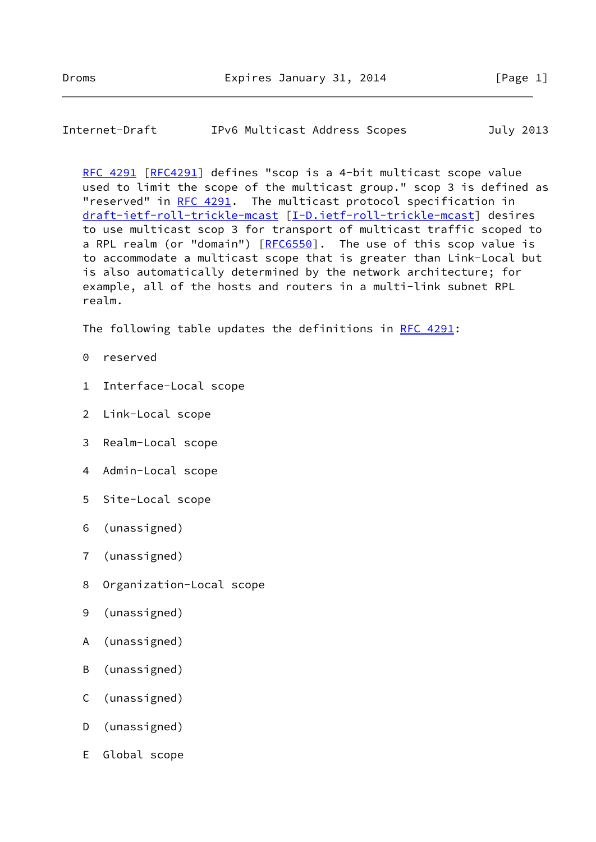## Internet-Draft IPv6 Multicast Address Scopes July 2013

 [RFC 4291](https://datatracker.ietf.org/doc/pdf/rfc4291) [\[RFC4291](https://datatracker.ietf.org/doc/pdf/rfc4291)] defines "scop is a 4-bit multicast scope value used to limit the scope of the multicast group." scop 3 is defined as "reserved" in [RFC 4291](https://datatracker.ietf.org/doc/pdf/rfc4291). The multicast protocol specification in [draft-ietf-roll-trickle-mcast](https://datatracker.ietf.org/doc/pdf/draft-ietf-roll-trickle-mcast) [[I-D.ietf-roll-trickle-mcast](#page-3-0)] desires to use multicast scop 3 for transport of multicast traffic scoped to a RPL realm (or "domain")  $[REG550]$ . The use of this scop value is to accommodate a multicast scope that is greater than Link-Local but is also automatically determined by the network architecture; for example, all of the hosts and routers in a multi-link subnet RPL realm.

The following table updates the definitions in [RFC 4291:](https://datatracker.ietf.org/doc/pdf/rfc4291)

- 0 reserved
- 1 Interface-Local scope
- 2 Link-Local scope
- 3 Realm-Local scope
- 4 Admin-Local scope
- 5 Site-Local scope
- 6 (unassigned)
- 7 (unassigned)
- 8 Organization-Local scope
- 9 (unassigned)
- A (unassigned)
- B (unassigned)
- C (unassigned)
- D (unassigned)
- E Global scope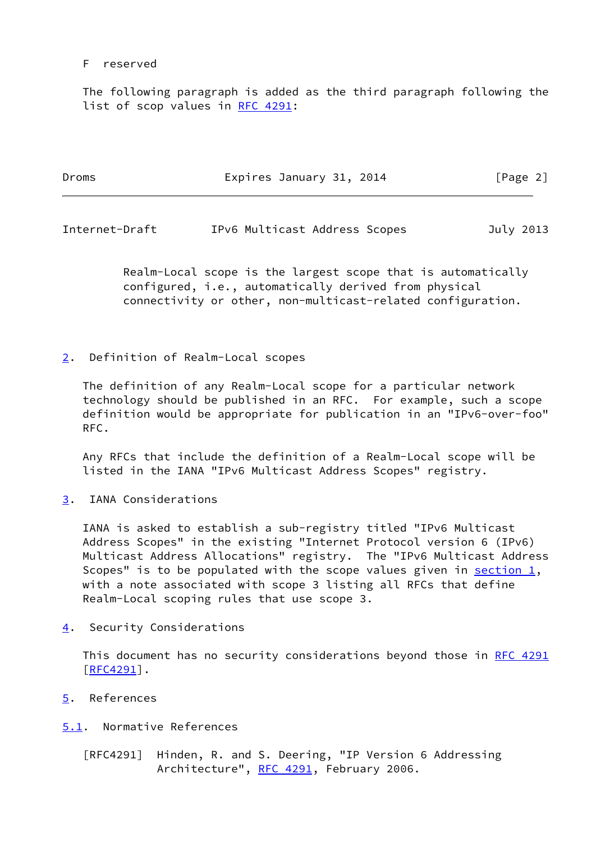## F reserved

 The following paragraph is added as the third paragraph following the list of scop values in [RFC 4291:](https://datatracker.ietf.org/doc/pdf/rfc4291)

| Droms | Expires January 31, 2014 | [Page 2] |
|-------|--------------------------|----------|
|       |                          |          |

Internet-Draft IPv6 Multicast Address Scopes July 2013

 Realm-Local scope is the largest scope that is automatically configured, i.e., automatically derived from physical connectivity or other, non-multicast-related configuration.

<span id="page-2-0"></span>[2](#page-2-0). Definition of Realm-Local scopes

 The definition of any Realm-Local scope for a particular network technology should be published in an RFC. For example, such a scope definition would be appropriate for publication in an "IPv6-over-foo" RFC.

 Any RFCs that include the definition of a Realm-Local scope will be listed in the IANA "IPv6 Multicast Address Scopes" registry.

<span id="page-2-1"></span>[3](#page-2-1). IANA Considerations

 IANA is asked to establish a sub-registry titled "IPv6 Multicast Address Scopes" in the existing "Internet Protocol version 6 (IPv6) Multicast Address Allocations" registry. The "IPv6 Multicast Address Scopes" is to be populated with the scope values given in section  $1$ , with a note associated with scope 3 listing all RFCs that define Realm-Local scoping rules that use scope 3.

<span id="page-2-2"></span>[4](#page-2-2). Security Considerations

This document has no security considerations beyond those in [RFC 4291](https://datatracker.ietf.org/doc/pdf/rfc4291)  $[$ RFC4291 $]$ .

- <span id="page-2-3"></span>[5](#page-2-3). References
- <span id="page-2-4"></span>[5.1](#page-2-4). Normative References
	- [RFC4291] Hinden, R. and S. Deering, "IP Version 6 Addressing Architecture", [RFC 4291](https://datatracker.ietf.org/doc/pdf/rfc4291), February 2006.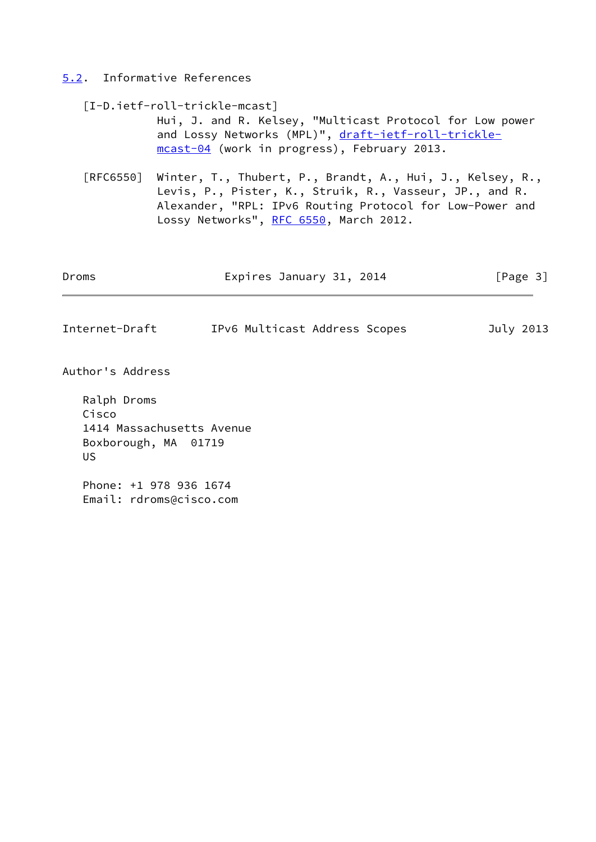## <span id="page-3-1"></span>[5.2](#page-3-1). Informative References

<span id="page-3-0"></span>

|                                   | [I-D.ietf-roll-trickle-mcast]<br>Hui, J. and R. Kelsey, "Multicast Protocol for Low power<br>and Lossy Networks (MPL)", draft-ietf-roll-trickle-<br>mcast-04 (work in progress), February 2013.                            |           |  |
|-----------------------------------|----------------------------------------------------------------------------------------------------------------------------------------------------------------------------------------------------------------------------|-----------|--|
| [REG550]                          | Winter, T., Thubert, P., Brandt, A., Hui, J., Kelsey, R.,<br>Levis, P., Pister, K., Struik, R., Vasseur, JP., and R.<br>Alexander, "RPL: IPv6 Routing Protocol for Low-Power and<br>Lossy Networks", RFC 6550, March 2012. |           |  |
| Droms                             | Expires January 31, 2014                                                                                                                                                                                                   | [Page 3]  |  |
| Internet-Draft                    | IPv6 Multicast Address Scopes                                                                                                                                                                                              | July 2013 |  |
| Author's Address                  |                                                                                                                                                                                                                            |           |  |
| Ralph Droms<br>Cisco<br><b>US</b> | 1414 Massachusetts Avenue<br>Boxborough, MA 01719                                                                                                                                                                          |           |  |
|                                   | Phone: +1 978 936 1674<br>Email: rdroms@cisco.com                                                                                                                                                                          |           |  |